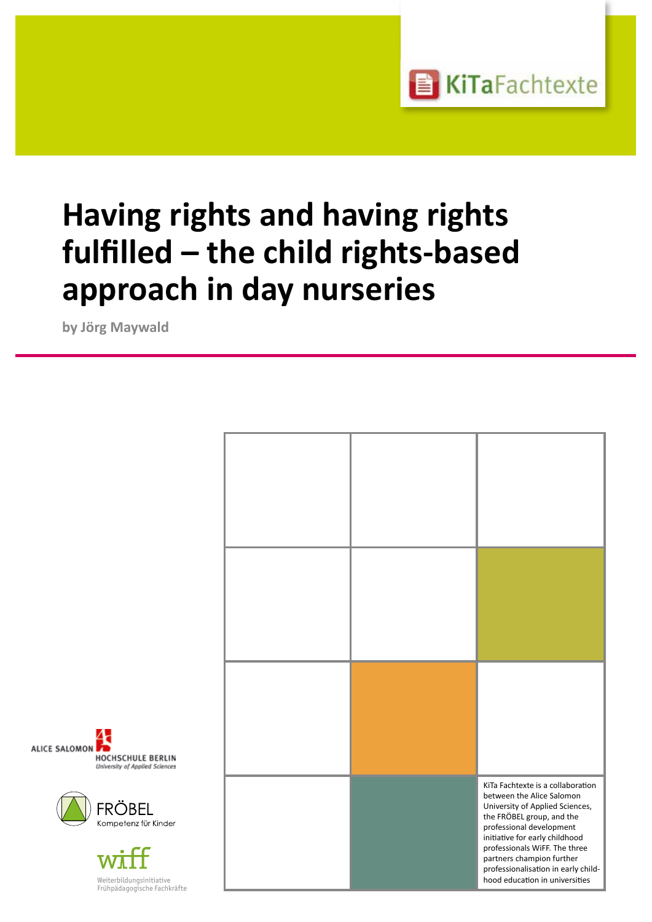

# **Having rights and having rights** fulfilled – the child rights-based **von Heike Wadepohl approach in day nurseries**

**by Jörg Maywald**







Weiterbildungsinitiative Frühpädagogische Fachkräfte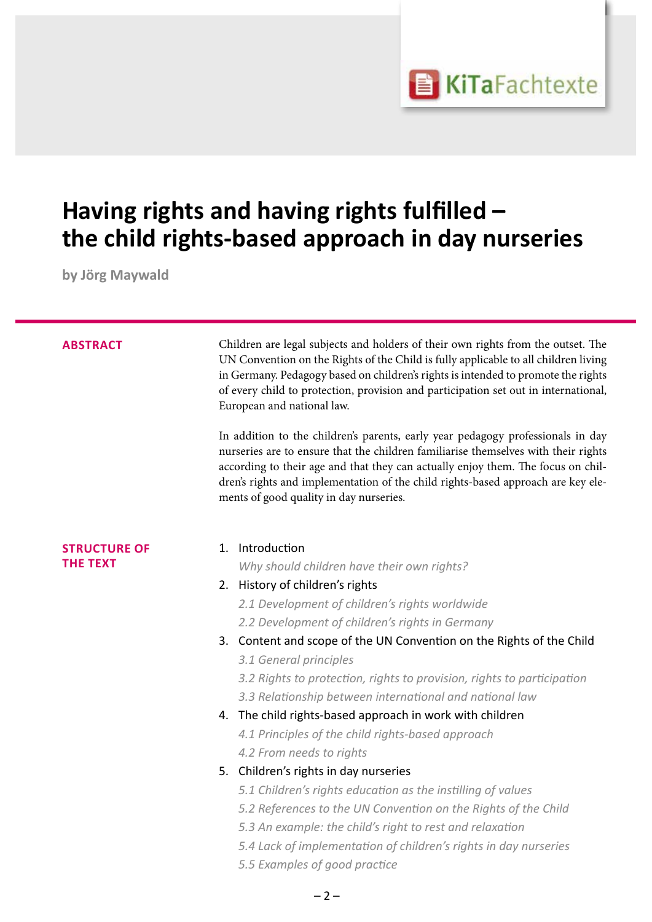

# Having rights and having rights fulfilled the child rights-based approach in day ht<br>. **the child rights-based approach in day nurseries**

**by Jörg Maywald**

| ÷ | ۰ ص            |  |
|---|----------------|--|
|   | $\blacksquare$ |  |

Children are legal subjects and holders of their own rights from the outset. The UN Convention on the Rights of the Child is fully applicable to all children living in Germany. Pedagogy based on children's rights is intended to promote the rights of every child to protection, provision and participation set out in international, European and national law.

In addition to the children's parents, early year pedagogy professionals in day nurseries are to ensure that the children familiarise themselves with their rights according to their age and that they can actually enjoy them. The focus on children's rights and implementation of the child rights-based approach are key elements of good quality in day nurseries.

#### **STRUCTURE OF THE TEXT**

1. Introduction

*Why should children have their own rights?*

- 2. History of children's rights
	- *2.1 Development of children's rights worldwide*
	- *2.2 Development of children's rights in Germany*
- 3. Content and scope of the UN Convention on the Rights of the Child
	- *3.1 General principles*
	- *3.2 Rights to protection, rights to provision, rights to participation*
	- *3.3 Relationship between international and national law*
- 4. The child rights-based approach in work with children
	- *4.1 Principles of the child rights-based approach 4.2 From needs to rights*

#### 5. Children's rights in day nurseries

- *5.1 Children's rights education as the instilling of values*
- $inkc$  of the Child der Alice Salomon Hochschule,  *5.2 References to the UN Convention on the Rights of the Child*
- ample: the child's right to rest and relayation Weiterbildungsinitiative  *5.3 An example: the child's right to rest and relaxation*
- of implementation of children's rights in day nurseries (WiFF). Die drei Partner setzen sich  *5.4 Lack of implementation of children's rights in day nurseries*
- abgebildeten Originalform und -farbigkeit verwendet werden. Es darf nicht verzerrt und nicht in  *5.5 Examples of good practice*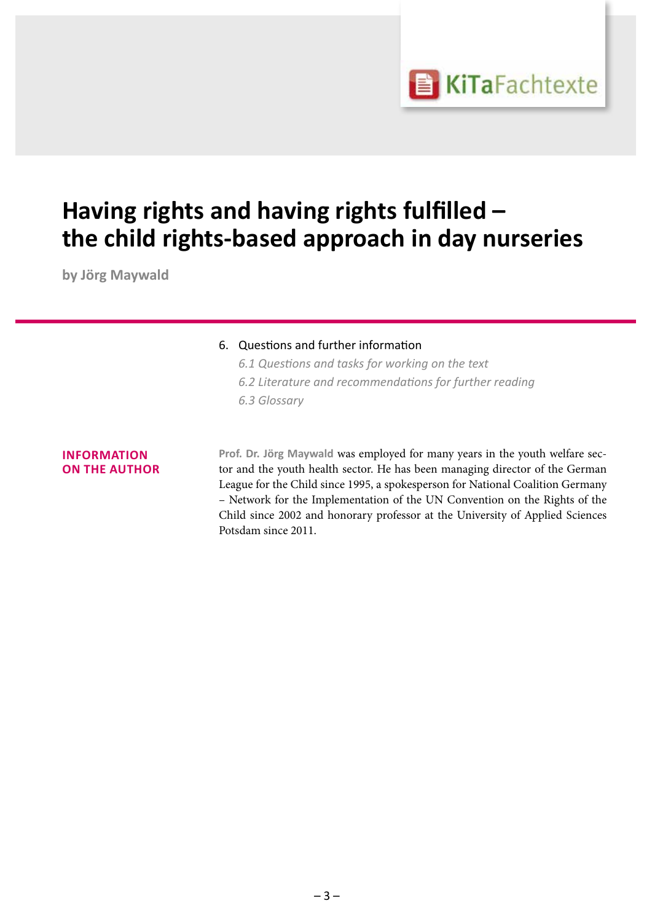

# Having rights and having rights fulfilled **the child rights-based approach in day nurseries** the child rights-based approach in day ht<br>.

**by Jörg Maywald**

#### 6. Questions and further information

 *6.1 Questions and tasks for working on the text 6.2 Literature and recommendations for further reading 6.3 Glossary*

#### **INFORMATION ON THE AUTHOR**

**Prof. Dr. Jörg Maywald** was employed for many years in the youth welfare sector and the youth health sector. He has been managing director of the German League for the Child since 1995, a spokesperson for National Coalition Germany – Network for the Implementation of the UN Convention on the Rights of the Child since 2002 and honorary professor at the University of Applied Sciences Potsdam since 2011.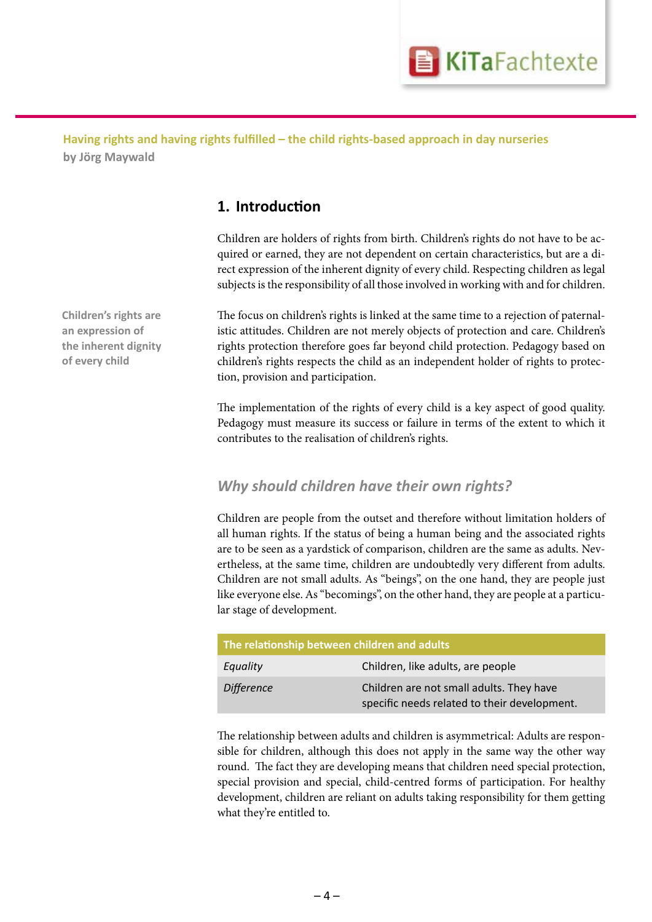

# **Professionelles Handeln von Anders Schwarzer Handels Schwarzer Handels Schwarzer Handels Schwarzer Handels Schwarzer Schwarzer Schwarzer Schwarzer Schwarzer Schwarzer Schwarzer Schwarzer Schwarzer Schwarzer Schwarzer Schw 1. Introduction**

**frühpädagogischen Fachkräften** Children are holders of rights from birth. Children's rights do not have to be acquired or earned, they are not dependent on certain characteristics, but are a direct expression of the inherent dignity of every child. Respecting children as legal subjects is the responsibility of all those involved in working with and for children.

> The focus on children's rights is linked at the same time to a rejection of paternalistic attitudes. Children are not merely objects of protection and care. Children's rights protection therefore goes far beyond child protection. Pedagogy based on children's rights respects the child as an independent holder of rights to protection, provision and participation.

> The implementation of the rights of every child is a key aspect of good quality. Pedagogy must measure its success or failure in terms of the extent to which it contributes to the realisation of children's rights.

#### *Why should children have their own rights?*

Children are people from the outset and therefore without limitation holders of all human rights. If the status of being a human being and the associated rights are to be seen as a yardstick of comparison, children are the same as adults. Nevertheless, at the same time, children are undoubtedly very different from adults. Children are not small adults. As "beings", on the one hand, they are people just like everyone else. As "becomings", on the other hand, they are people at a particular stage of development.

| The relationship between children and adults |                                                                                          |  |
|----------------------------------------------|------------------------------------------------------------------------------------------|--|
| Equality                                     | Children, like adults, are people                                                        |  |
| <b>Difference</b>                            | Children are not small adults. They have<br>specific needs related to their development. |  |

children are reliant on adults taking responsibility for them get what they're entitled to. special provision and special, child-centred forms of participation. For healthy development, children are reliant on adults taking responsibility for them getting The relationship between adults and children is asymmetrical: Adults are responsible for children, although this does not apply in the same way the other way round. The fact they are developing means that children need special protection,

**Children's rights are an expression of the inherent dignity of every child**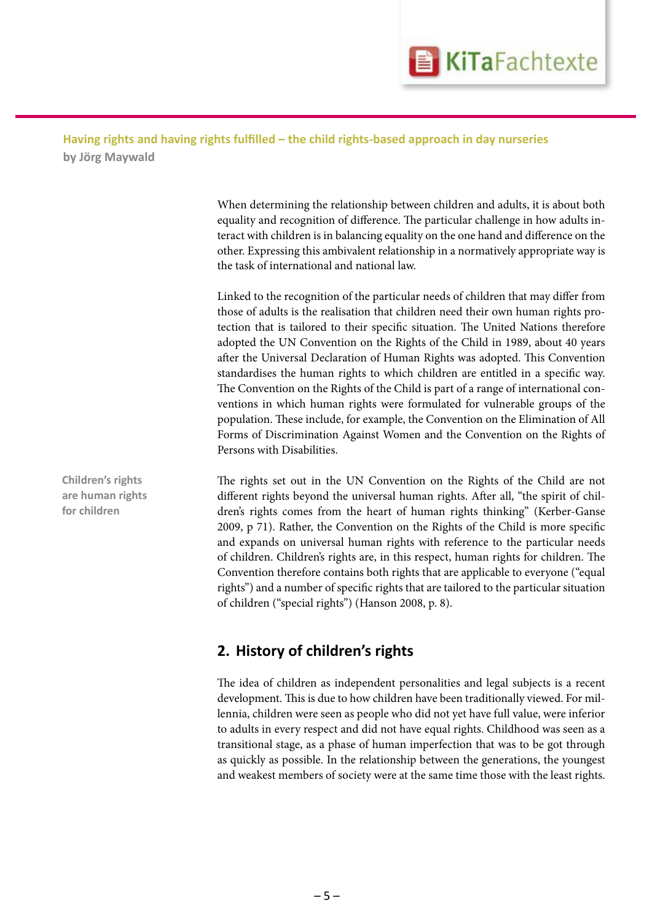

**Professionelles Handeln von**  When determining the relationship between children and adults, it is about both equality and recognition of difference. The particular challenge in how adults interact with children is in balancing equality on the one hand and difference on the equality and recognition of difference. The particular challenge in how adults inother. Expressing this ambivalent relationship in a normatively appropriate way is the task of international and national law.

> Linked to the recognition of the particular needs of children that may differ from those of adults is the realisation that children need their own human rights protection that is tailored to their specific situation. The United Nations therefore adopted the UN Convention on the Rights of the Child in 1989, about 40 years after the Universal Declaration of Human Rights was adopted. This Convention standardises the human rights to which children are entitled in a specific way. The Convention on the Rights of the Child is part of a range of international conventions in which human rights were formulated for vulnerable groups of the population. These include, for example, the Convention on the Elimination of All Forms of Discrimination Against Women and the Convention on the Rights of Persons with Disabilities.

> The rights set out in the UN Convention on the Rights of the Child are not different rights beyond the universal human rights. After all, "the spirit of children's rights comes from the heart of human rights thinking" (Kerber-Ganse 2009, p 71). Rather, the Convention on the Rights of the Child is more specific and expands on universal human rights with reference to the particular needs of children. Children's rights are, in this respect, human rights for children. The Convention therefore contains both rights that are applicable to everyone ("equal rights") and a number of specific rights that are tailored to the particular situation of children ("special rights") (Hanson 2008, p. 8).

## **2. History of children's rights**

and weakest members of society were at the same time those with the least rights. The idea of children as independent personalities and legal subjects is a recent development. This is due to how children have been traditionally viewed. For millennia, children were seen as people who did not yet have full value, were inferior to adults in every respect and did not have equal rights. Childhood was seen as a transitional stage, as a phase of human imperfection that was to be got through as quickly as possible. In the relationship between the generations, the youngest

**Children's rights are human rights for children**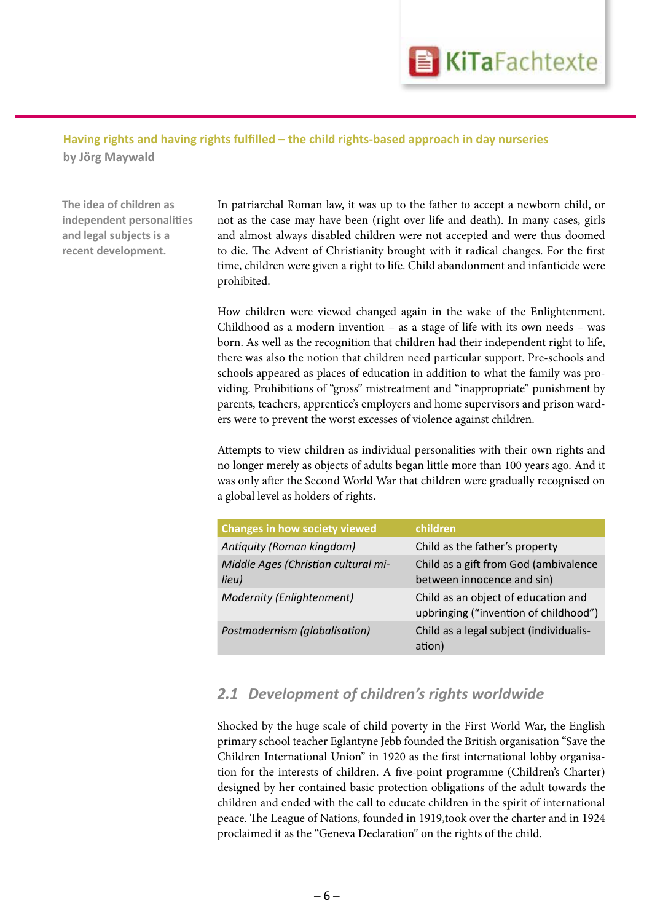

**by Jörg Maywald**

**The idea of children as independent personalities and legal subjects is a recent development.**

**Professionelles Handeln von**  In patriarchal Roman law, it was up to the father to accept a newborn child, or independent personalities and almost always disabled children were not accepted and were thus doomed<br>and legal subjects is a and almost always disabled children were not accepted and were thus doomed not as the case may have been (right over life and death). In many cases, girls to die. The Advent of Christianity brought with it radical changes. For the first time, children were given a right to life. Child abandonment and infanticide were prohibited.

> How children were viewed changed again in the wake of the Enlightenment. Childhood as a modern invention – as a stage of life with its own needs – was born. As well as the recognition that children had their independent right to life, there was also the notion that children need particular support. Pre-schools and schools appeared as places of education in addition to what the family was providing. Prohibitions of "gross" mistreatment and "inappropriate" punishment by parents, teachers, apprentice's employers and home supervisors and prison warders were to prevent the worst excesses of violence against children.

> Attempts to view children as individual personalities with their own rights and no longer merely as objects of adults began little more than 100 years ago. And it was only after the Second World War that children were gradually recognised on a global level as holders of rights.

| <b>Changes in how society viewed</b>         | children                                                                     |
|----------------------------------------------|------------------------------------------------------------------------------|
| Antiquity (Roman kingdom)                    | Child as the father's property                                               |
| Middle Ages (Christian cultural mi-<br>lieu) | Child as a gift from God (ambivalence<br>between innocence and sin)          |
| Modernity (Enlightenment)                    | Child as an object of education and<br>upbringing ("invention of childhood") |
| Postmodernism (globalisation)                | Child as a legal subject (individualis-<br>ation)                            |

### *2.1 Development of children's rights worldwide*

er contained basic protection obligations of the adult towards the nded with the call to educate children in the spirit of interns peace. The League of Nations, founded in 1919,took over the charter and in 1924 is the "Geneva Declaration" on the rights of the child. designed by her contained basic protection obligations of the adult towards the children and ended with the call to educate children in the spirit of international proclaimed it as the "Geneva Declaration" on the rights of the child. Shocked by the huge scale of child poverty in the First World War, the English primary school teacher Eglantyne Jebb founded the British organisation "Save the Children International Union" in 1920 as the first international lobby organisation for the interests of children. A five-point programme (Children's Charter)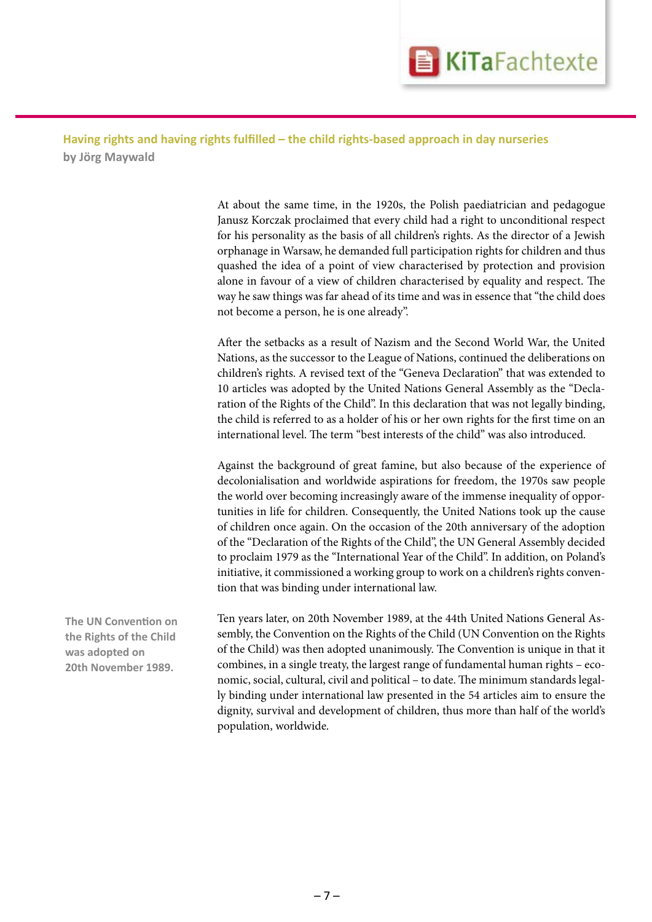

At about the same time, in the 1920s, the Polish paediatrician and pedagogue Janusz Korczak proclaimed that every child had a right to unconditional respect<br>for his personality as the basis of all children's rights. As the director of a Jewish Janusz Korczak proclaimed that every child had a right to unconditional respect orphanage in Warsaw, he demanded full participation rights for children and thus quashed the idea of a point of view characterised by protection and provision alone in favour of a view of children characterised by equality and respect. The way he saw things was far ahead of its time and was in essence that "the child does not become a person, he is one already".

> After the setbacks as a result of Nazism and the Second World War, the United Nations, as the successor to the League of Nations, continued the deliberations on children's rights. A revised text of the "Geneva Declaration" that was extended to 10 articles was adopted by the United Nations General Assembly as the "Declaration of the Rights of the Child". In this declaration that was not legally binding, the child is referred to as a holder of his or her own rights for the first time on an international level. The term "best interests of the child" was also introduced.

> Against the background of great famine, but also because of the experience of decolonialisation and worldwide aspirations for freedom, the 1970s saw people the world over becoming increasingly aware of the immense inequality of opportunities in life for children. Consequently, the United Nations took up the cause of children once again. On the occasion of the 20th anniversary of the adoption of the "Declaration of the Rights of the Child", the UN General Assembly decided to proclaim 1979 as the "International Year of the Child". In addition, on Poland's initiative, it commissioned a working group to work on a children's rights convention that was binding under international law.

Ten years later, on 20th November 1989, at the 44th United Nations General Assembly, the Convention on the Rights of the Child (UN Convention on the Rights of the Child) was then adopted unanimously. The Convention is unique in that it combines, in a single treaty, the largest range of fundamental human rights – economic, social, cultural, civil and political – to date. The minimum standards legally binding under international law presented in the 54 articles aim to ensure the dignity, survival and development of children, thus more than half of the world's population, worldwide.

**The UN Convention on the Rights of the Child was adopted on 20th November 1989.**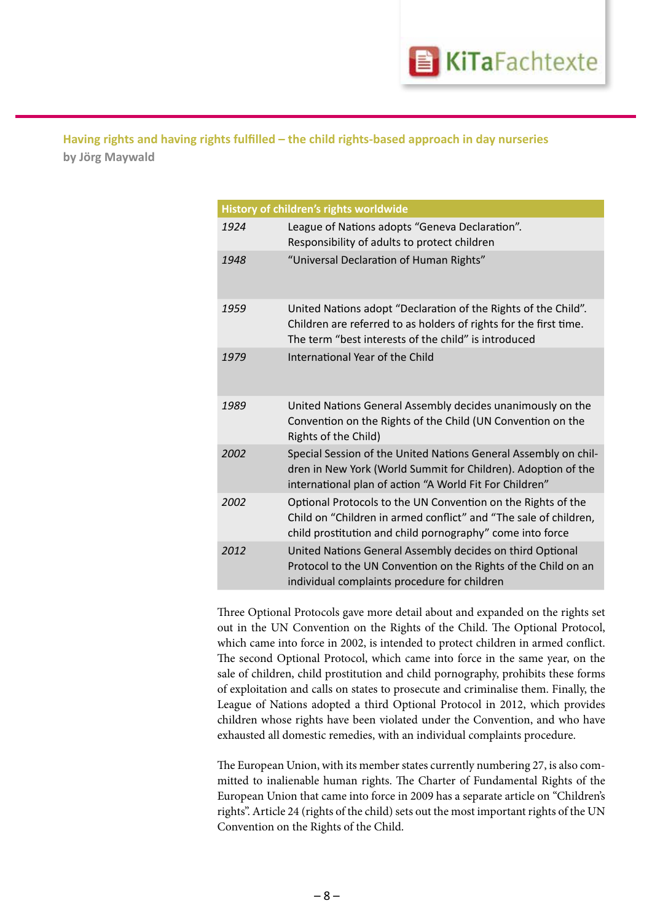

|      | History of children's rights worldwide                                                                                                                                                        |
|------|-----------------------------------------------------------------------------------------------------------------------------------------------------------------------------------------------|
| 1924 | League of Nations adopts "Geneva Declaration".<br>Responsibility of adults to protect children                                                                                                |
| 1948 | "Universal Declaration of Human Rights"                                                                                                                                                       |
| 1959 | United Nations adopt "Declaration of the Rights of the Child".<br>Children are referred to as holders of rights for the first time.<br>The term "best interests of the child" is introduced   |
| 1979 | International Year of the Child                                                                                                                                                               |
| 1989 | United Nations General Assembly decides unanimously on the<br>Convention on the Rights of the Child (UN Convention on the<br>Rights of the Child)                                             |
| 2002 | Special Session of the United Nations General Assembly on chil-<br>dren in New York (World Summit for Children). Adoption of the<br>international plan of action "A World Fit For Children"   |
| 2002 | Optional Protocols to the UN Convention on the Rights of the<br>Child on "Children in armed conflict" and "The sale of children,<br>child prostitution and child pornography" come into force |
| 2012 | United Nations General Assembly decides on third Optional<br>Protocol to the UN Convention on the Rights of the Child on an<br>individual complaints procedure for children                   |

Three Optional Protocols gave more detail about and expanded on the rights set out in the UN Convention on the Rights of the Child. The Optional Protocol, which came into force in 2002, is intended to protect children in armed conflict. The second Optional Protocol, which came into force in the same year, on the sale of children, child prostitution and child pornography, prohibits these forms of exploitation and calls on states to prosecute and criminalise them. Finally, the League of Nations adopted a third Optional Protocol in 2012, which provides children whose rights have been violated under the Convention, and who have exhausted all domestic remedies, with an individual complaints procedure.

on that came into force in 2009 has a separate article on "Child" 24 (rights of the child) sets out the most important rights o Convention on the Rights of the Child. mitted to inalienable human rights. The Charter of Fundamental Rights of the European Union that came into force in 2009 has a separate article on "Children's rights". Article 24 (rights of the child) sets out the most important rights of the UN The European Union, with its member states currently numbering 27, is also com-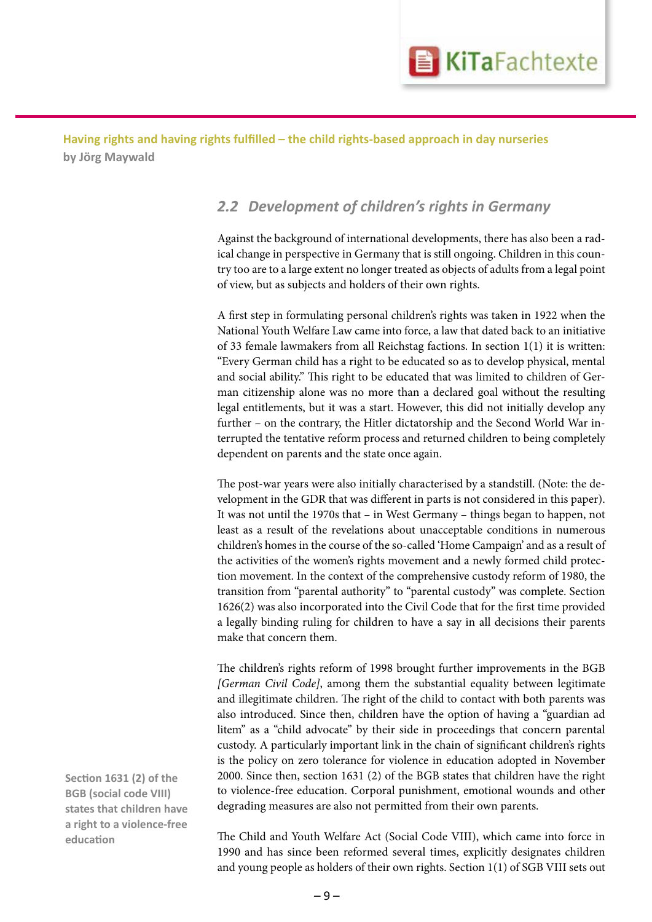

# **Professionelles Handeln von**  *2.2 Development of children's rights in Germany*

**frühren Fachten Fachter Fachters**<br>Against the background of international developments, there has also been a radical change in perspective in Germany that is still ongoing. Children in this country too are to a large extent no longer treated as objects of adults from a legal point of view, but as subjects and holders of their own rights.

> A first step in formulating personal children's rights was taken in 1922 when the National Youth Welfare Law came into force, a law that dated back to an initiative of 33 female lawmakers from all Reichstag factions. In section 1(1) it is written: "Every German child has a right to be educated so as to develop physical, mental and social ability." This right to be educated that was limited to children of German citizenship alone was no more than a declared goal without the resulting legal entitlements, but it was a start. However, this did not initially develop any further – on the contrary, the Hitler dictatorship and the Second World War interrupted the tentative reform process and returned children to being completely dependent on parents and the state once again.

> The post-war years were also initially characterised by a standstill. (Note: the development in the GDR that was different in parts is not considered in this paper). It was not until the 1970s that – in West Germany – things began to happen, not least as a result of the revelations about unacceptable conditions in numerous children's homes in the course of the so-called 'Home Campaign' and as a result of the activities of the women's rights movement and a newly formed child protection movement. In the context of the comprehensive custody reform of 1980, the transition from "parental authority" to "parental custody" was complete. Section 1626(2) was also incorporated into the Civil Code that for the first time provided a legally binding ruling for children to have a say in all decisions their parents make that concern them.

> to violence-free education. Corporal punishment, emotional wounds and other 2000. Since then, section 1631 (2) of the BGB states that children have the right der FRÖBEL-Gruppe und der degrading measures are also not permitted from their own parents. The children's rights reform of 1998 brought further improvements in the BGB *[German Civil Code]*, among them the substantial equality between legitimate and illegitimate children. The right of the child to contact with both parents was also introduced. Since then, children have the option of having a "guardian ad litem" as a "child advocate" by their side in proceedings that concern parental custody. A particularly important link in the chain of significant children's rights is the policy on zero tolerance for violence in education adopted in November

> Youth Welfare Act (Social Code VIII), which came into force i 1990 and has since been reformed several times, explicitly designates children and young people as holders of their own rights. Section 1(1) of SGB VIII sets out The Child and Youth Welfare Act (Social Code VIII), which came into force in

**BGB (social code VIII) Section 1631 (2) of the states that children have a right to a violence-free education**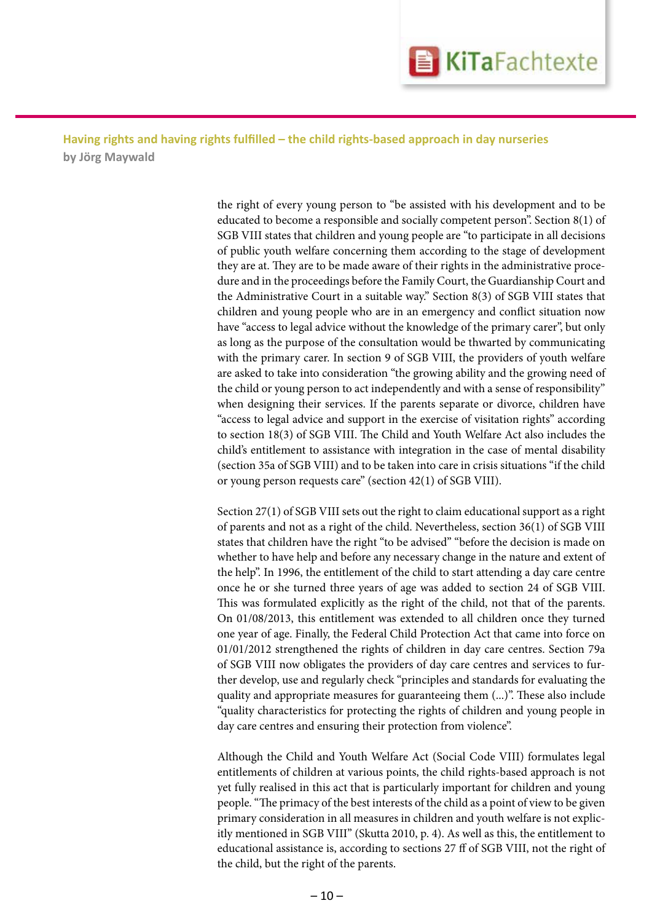

**Professionelles Handeln von**  the right of every young person to "be assisted with his development and to be educated to become a responsible and socially competent person". Section 8(1) of<br>SGB VIII states that children and young people are "to participate in all decisions SGB VIII states that children and young people are "to participate in all decisions of public youth welfare concerning them according to the stage of development they are at. They are to be made aware of their rights in the administrative procedure and in the proceedings before the Family Court, the Guardianship Court and the Administrative Court in a suitable way." Section 8(3) of SGB VIII states that children and young people who are in an emergency and conflict situation now have "access to legal advice without the knowledge of the primary carer", but only as long as the purpose of the consultation would be thwarted by communicating with the primary carer. In section 9 of SGB VIII, the providers of youth welfare are asked to take into consideration "the growing ability and the growing need of the child or young person to act independently and with a sense of responsibility" when designing their services. If the parents separate or divorce, children have "access to legal advice and support in the exercise of visitation rights" according to section 18(3) of SGB VIII. The Child and Youth Welfare Act also includes the child's entitlement to assistance with integration in the case of mental disability (section 35a of SGB VIII) and to be taken into care in crisis situations "if the child or young person requests care" (section 42(1) of SGB VIII).

> Section 27(1) of SGB VIII sets out the right to claim educational support as a right of parents and not as a right of the child. Nevertheless, section 36(1) of SGB VIII states that children have the right "to be advised" "before the decision is made on whether to have help and before any necessary change in the nature and extent of the help". In 1996, the entitlement of the child to start attending a day care centre once he or she turned three years of age was added to section 24 of SGB VIII. This was formulated explicitly as the right of the child, not that of the parents. On 01/08/2013, this entitlement was extended to all children once they turned one year of age. Finally, the Federal Child Protection Act that came into force on 01/01/2012 strengthened the rights of children in day care centres. Section 79a of SGB VIII now obligates the providers of day care centres and services to further develop, use and regularly check "principles and standards for evaluating the quality and appropriate measures for guaranteeing them (...)". These also include "quality characteristics for protecting the rights of children and young people in day care centres and ensuring their protection from violence".

> ed in this act that is particularly important for children and youn people. "The primacy of the best interests of the child as a point of view to be given reration in in SGB VIII" (Skutta 2010, p. 4). As well as this, the entitlement to educational assistance is, according to sections 27 ff of SGB VIII, not the right of the child, but the right of the parents. yet fully realised in this act that is particularly important for children and young  $\mathbf{F}_{\text{max}}$ primary consideration in all measures in children and youth welfare is not explicitly mentioned in SGB VIII" (Skutta 2010, p. 4). As well as this, the entitlement to Although the Child and Youth Welfare Act (Social Code VIII) formulates legal entitlements of children at various points, the child rights-based approach is not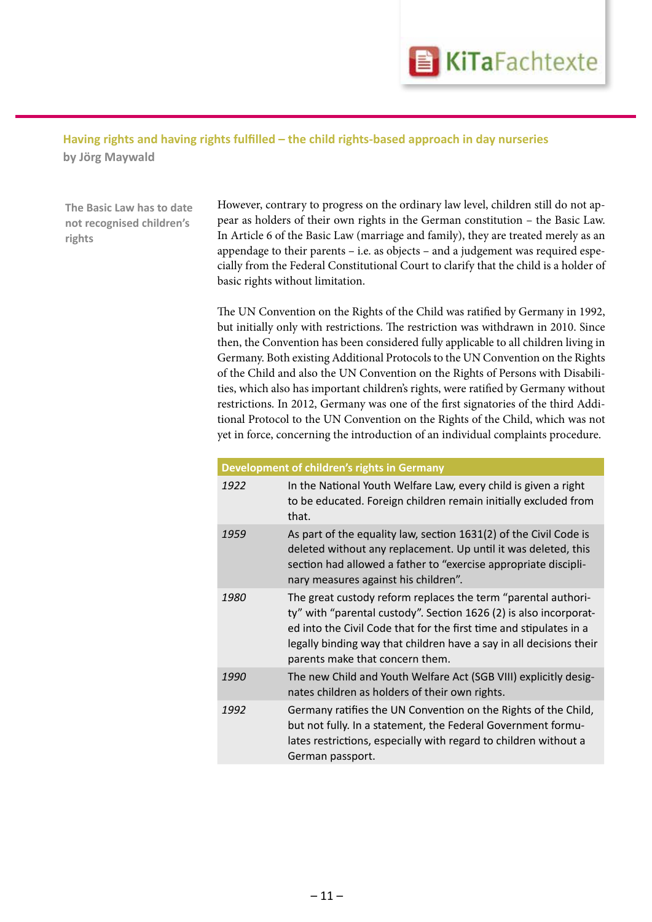

**The Basic Law has to date not recognised children's rights**

The Basic Law has to date However, contrary to progress on the ordinary law level, children still do not ap**fraction** Factor Fachkrafter Fachkraft pear as holders of their own rights in the German constitution – the Basic Law (marriage and family), they are treated merely as an influence of the Basic Law (marriage and family), pear as holders of their own rights in the German constitution – the Basic Law. appendage to their parents – i.e. as objects – and a judgement was required especially from the Federal Constitutional Court to clarify that the child is a holder of basic rights without limitation.

> The UN Convention on the Rights of the Child was ratified by Germany in 1992, but initially only with restrictions. The restriction was withdrawn in 2010. Since then, the Convention has been considered fully applicable to all children living in Germany. Both existing Additional Protocols to the UN Convention on the Rights of the Child and also the UN Convention on the Rights of Persons with Disabilities, which also has important children's rights, were ratified by Germany without restrictions. In 2012, Germany was one of the first signatories of the third Additional Protocol to the UN Convention on the Rights of the Child, which was not yet in force, concerning the introduction of an individual complaints procedure.

|      | Development of children's rights in Germany                                                                                                                                                                                                                                                                        |
|------|--------------------------------------------------------------------------------------------------------------------------------------------------------------------------------------------------------------------------------------------------------------------------------------------------------------------|
| 1922 | In the National Youth Welfare Law, every child is given a right<br>to be educated. Foreign children remain initially excluded from<br>that.                                                                                                                                                                        |
| 1959 | As part of the equality law, section 1631(2) of the Civil Code is<br>deleted without any replacement. Up until it was deleted, this<br>section had allowed a father to "exercise appropriate discipli-<br>nary measures against his children".                                                                     |
| 1980 | The great custody reform replaces the term "parental authori-<br>ty" with "parental custody". Section 1626 (2) is also incorporat-<br>ed into the Civil Code that for the first time and stipulates in a<br>legally binding way that children have a say in all decisions their<br>parents make that concern them. |
| 1990 | The new Child and Youth Welfare Act (SGB VIII) explicitly desig-<br>nates children as holders of their own rights.                                                                                                                                                                                                 |
| 1992 | Germany ratifies the UN Convention on the Rights of the Child,<br>but not fully. In a statement, the Federal Government formu-<br>lates restrictions, especially with regard to children without a<br>German passport.                                                                                             |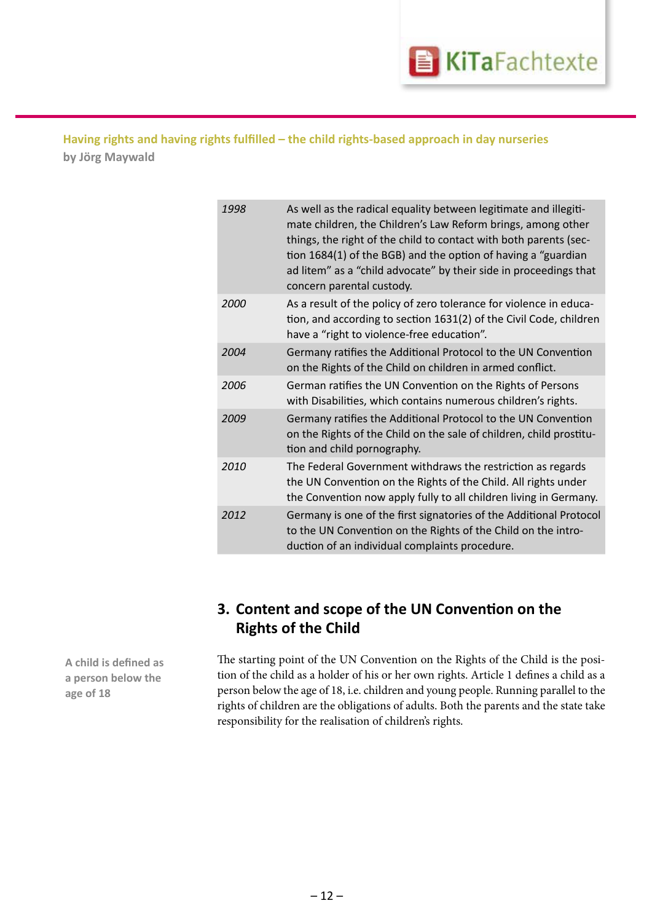

| 1998 | As well as the radical equality between legitimate and illegiti-<br>mate children, the Children's Law Reform brings, among other<br>things, the right of the child to contact with both parents (sec-<br>tion 1684(1) of the BGB) and the option of having a "guardian<br>ad litem" as a "child advocate" by their side in proceedings that<br>concern parental custody. |
|------|--------------------------------------------------------------------------------------------------------------------------------------------------------------------------------------------------------------------------------------------------------------------------------------------------------------------------------------------------------------------------|
| 2000 | As a result of the policy of zero tolerance for violence in educa-<br>tion, and according to section 1631(2) of the Civil Code, children<br>have a "right to violence-free education".                                                                                                                                                                                   |
| 2004 | Germany ratifies the Additional Protocol to the UN Convention<br>on the Rights of the Child on children in armed conflict.                                                                                                                                                                                                                                               |
| 2006 | German ratifies the UN Convention on the Rights of Persons<br>with Disabilities, which contains numerous children's rights.                                                                                                                                                                                                                                              |
| 2009 | Germany ratifies the Additional Protocol to the UN Convention<br>on the Rights of the Child on the sale of children, child prostitu-<br>tion and child pornography.                                                                                                                                                                                                      |
| 2010 | The Federal Government withdraws the restriction as regards<br>the UN Convention on the Rights of the Child. All rights under<br>the Convention now apply fully to all children living in Germany.                                                                                                                                                                       |
| 2012 | Germany is one of the first signatories of the Additional Protocol<br>to the UN Convention on the Rights of the Child on the intro-<br>duction of an individual complaints procedure.                                                                                                                                                                                    |

# **3. Content and scope of the UN Convention on the Rights of the Child**

The starting point of the UN Convention on the Rights of the Child is the position of the child as a holder of his or her own rights. Article 1 defines a child as a person below the age of 18, i.e. children and young people. Running parallel to the rights of children are the obligations of adults. Both the parents and the state take responsibility for the realisation of children's rights.

**A child is defined as a person below the age of 18**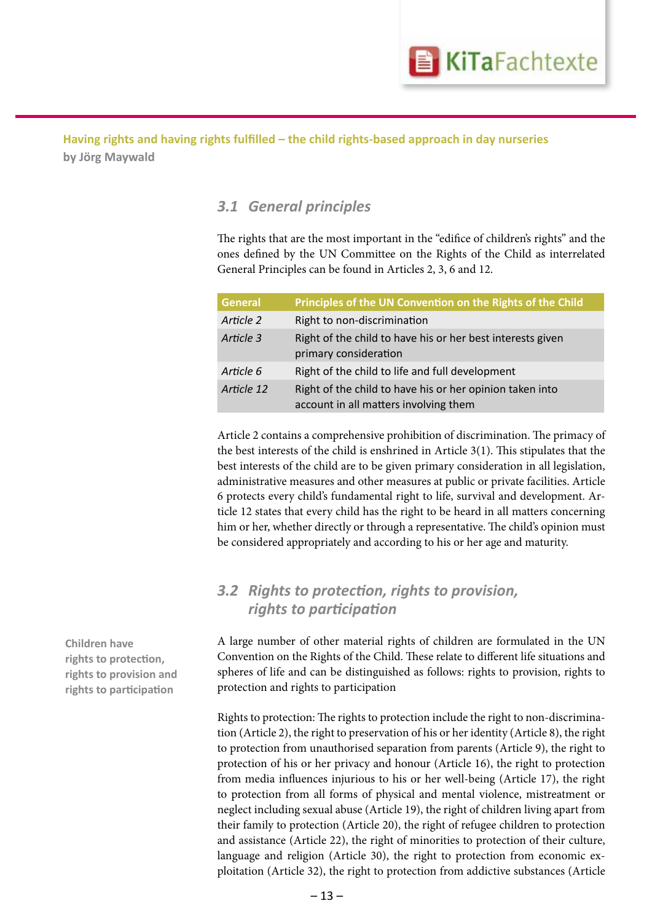

# **Professionelles Handeln von**  *3.1 General principles*

The rights that are the most important in the "edifice of children's rights" and the ones defined by the UN Committee on the Rights of the Child as interrelated General Principles can be found in Articles 2, 3, 6 and 12.

| <b>General</b> | Principles of the UN Convention on the Rights of the Child                                        |
|----------------|---------------------------------------------------------------------------------------------------|
| Article 2      | Right to non-discrimination                                                                       |
| Article 3      | Right of the child to have his or her best interests given<br>primary consideration               |
| Article 6      | Right of the child to life and full development                                                   |
| Article 12     | Right of the child to have his or her opinion taken into<br>account in all matters involving them |

Article 2 contains a comprehensive prohibition of discrimination. The primacy of the best interests of the child is enshrined in Article 3(1). This stipulates that the best interests of the child are to be given primary consideration in all legislation, administrative measures and other measures at public or private facilities. Article 6 protects every child's fundamental right to life, survival and development. Article 12 states that every child has the right to be heard in all matters concerning him or her, whether directly or through a representative. The child's opinion must be considered appropriately and according to his or her age and maturity.

## *3.2 Rights to protection, rights to provision, rights to participation*

A large number of other material rights of children are formulated in the UN Convention on the Rights of the Child. These relate to different life situations and spheres of life and can be distinguished as follows: rights to provision, rights to protection and rights to participation

from all forms of physical and mental violence, mistreatmer protectior and assistance (Article 22), the right of minorities to protection of their culture, religion (A ploitation (Article 32), the right to protection from addictive substances (Article from media influences injurious to his or her well-being (Article 17), the right to protection from all forms of physical and mental violence, mistreatment or neglect including sexual abuse (Article 19), the right of children living apart from Frührliche Fachkräfte their family to protection (Article 20), the right of refugee children to protection in der frühpädagogischen language and religion (Article 30), the right to protection from economic ex-Rights to protection: The rights to protection include the right to non-discrimination (Article 2), the right to preservation of his or her identity (Article 8), the right to protection from unauthorised separation from parents (Article 9), the right to protection of his or her privacy and honour (Article 16), the right to protection

**Children have rights to protection, rights to provision and rights to participation**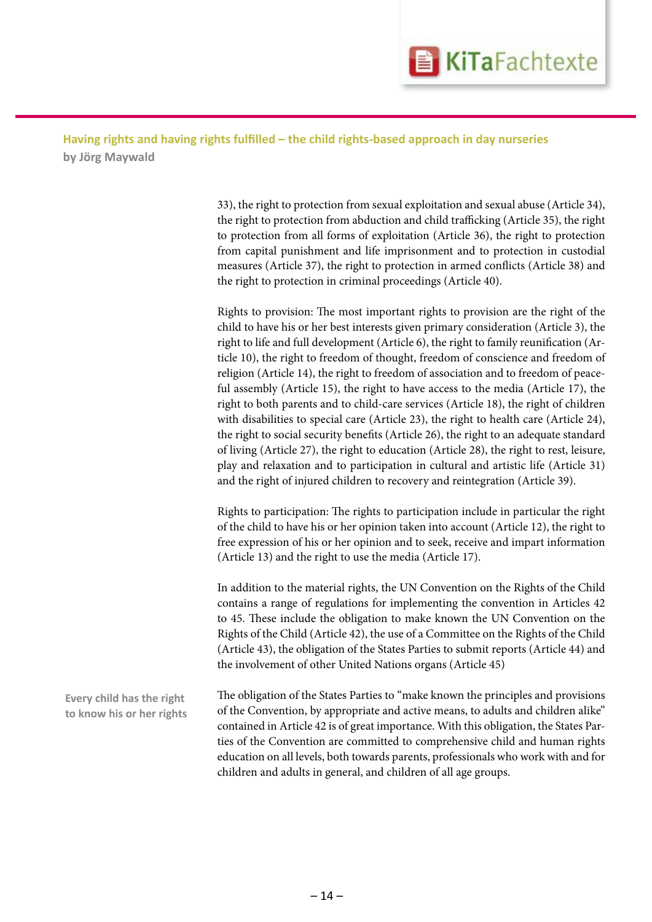

**Professionelles Handeln von**  33), the right to protection from sexual exploitation and sexual abuse (Article 34), the right to protection from abduction and child trafficking (Article 35), the right<br>to protection from all forms of exploitation (Article 36), the right to protection the right to protection from abduction and child trafficking (Article 35), the right from capital punishment and life imprisonment and to protection in custodial measures (Article 37), the right to protection in armed conflicts (Article 38) and the right to protection in criminal proceedings (Article 40).

> Rights to provision: The most important rights to provision are the right of the child to have his or her best interests given primary consideration (Article 3), the right to life and full development (Article 6), the right to family reunification (Article 10), the right to freedom of thought, freedom of conscience and freedom of religion (Article 14), the right to freedom of association and to freedom of peaceful assembly (Article 15), the right to have access to the media (Article 17), the right to both parents and to child-care services (Article 18), the right of children with disabilities to special care (Article 23), the right to health care (Article 24), the right to social security benefits (Article 26), the right to an adequate standard of living (Article 27), the right to education (Article 28), the right to rest, leisure, play and relaxation and to participation in cultural and artistic life (Article 31) and the right of injured children to recovery and reintegration (Article 39).

> Rights to participation: The rights to participation include in particular the right of the child to have his or her opinion taken into account (Article 12), the right to free expression of his or her opinion and to seek, receive and impart information (Article 13) and the right to use the media (Article 17).

> In addition to the material rights, the UN Convention on the Rights of the Child contains a range of regulations for implementing the convention in Articles 42 to 45. These include the obligation to make known the UN Convention on the Rights of the Child (Article 42), the use of a Committee on the Rights of the Child (Article 43), the obligation of the States Parties to submit reports (Article 44) and the involvement of other United Nations organs (Article 45)

> > $\mathbf{F}$

The obligation of the States Parties to "make known the principles and provisions of the Convention, by appropriate and active means, to adults and children alike" contained in Article 42 is of great importance. With this obligation, the States Parties of the Convention are committed to comprehensive child and human rights education on all levels, both towards parents, professionals who work with and for children and adults in general, and children of all age groups. **Every child has the right to know his or her rights**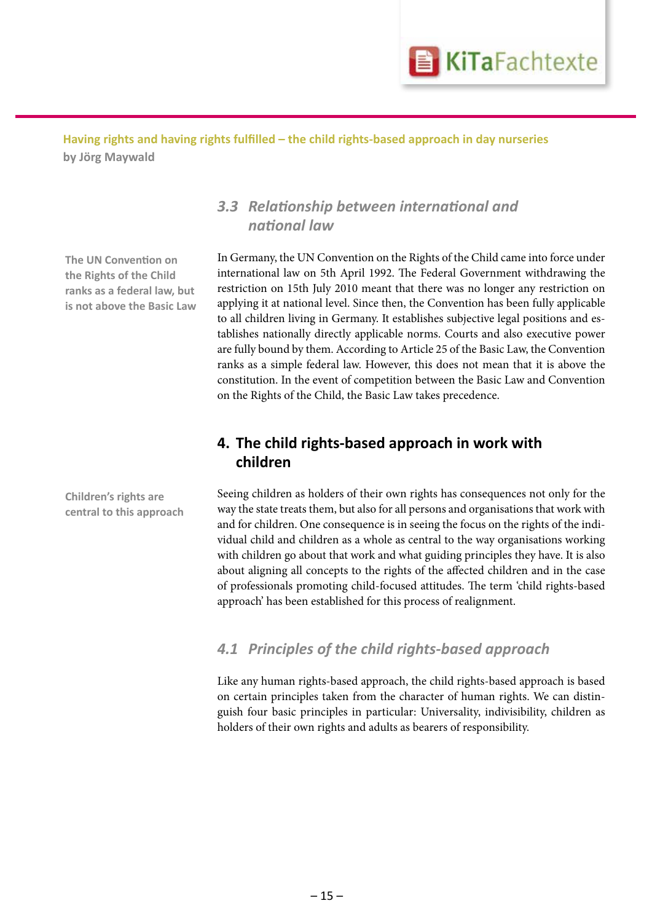

# **Professionelles Handeln von**  *3.3 Relationship between international and*  $$ *national law*

the Rights of the Child **The UN Convention on ranks as a federal law, but is not above the Basic Law**

**Children's rights are central to this approach** In Germany, the UN Convention on the Rights of the Child came into force under international law on 5th April 1992. The Federal Government withdrawing the restriction on 15th July 2010 meant that there was no longer any restriction on applying it at national level. Since then, the Convention has been fully applicable to all children living in Germany. It establishes subjective legal positions and establishes nationally directly applicable norms. Courts and also executive power are fully bound by them. According to Article 25 of the Basic Law, the Convention ranks as a simple federal law. However, this does not mean that it is above the constitution. In the event of competition between the Basic Law and Convention on the Rights of the Child, the Basic Law takes precedence.

# **4. The child rights-based approach in work with children**

Seeing children as holders of their own rights has consequences not only for the way the state treats them, but also for all persons and organisations that work with and for children. One consequence is in seeing the focus on the rights of the individual child and children as a whole as central to the way organisations working with children go about that work and what guiding principles they have. It is also about aligning all concepts to the rights of the affected children and in the case of professionals promoting child-focused attitudes. The term 'child rights-based approach' has been established for this process of realignment.

### *4.1 Principles of the child rights-based approach*

Like any human rights-based approach, the child rights-based approach is based on certain principles taken from the character of human rights. We can distinguish four basic principles in particular: Universality, indivisibility, children as holders of their own rights and adults as bearers of responsibility.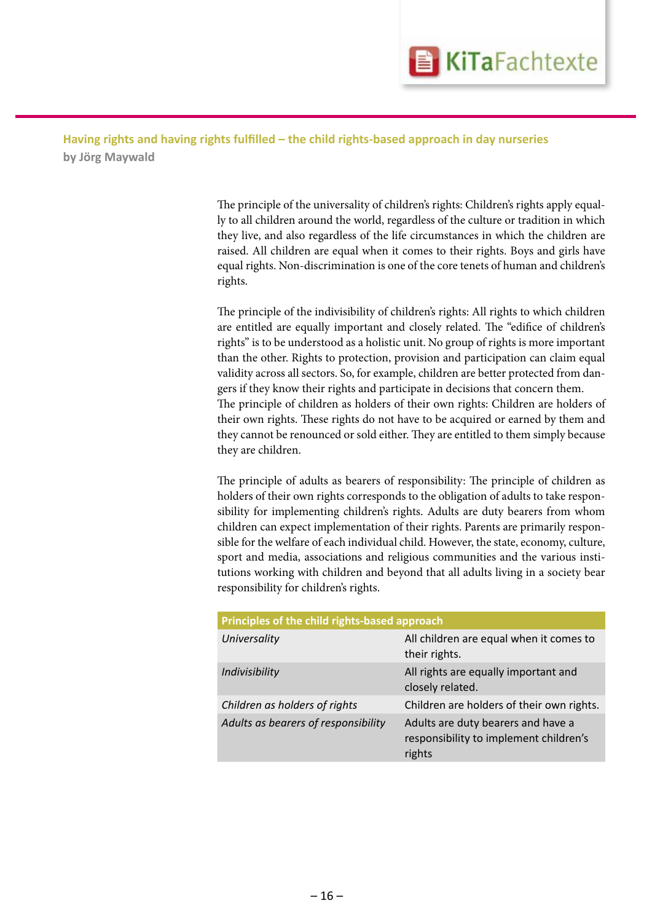

The principle of the universality of children's rights: Children's rights apply equally to all children around the world, regardless of the culture or tradition in which<br>they live, and also regardless of the life circumstances in which the children are ly to all children around the world, regardless of the culture or tradition in which raised. All children are equal when it comes to their rights. Boys and girls have equal rights. Non-discrimination is one of the core tenets of human and children's rights.

> The principle of the indivisibility of children's rights: All rights to which children are entitled are equally important and closely related. The "edifice of children's rights" is to be understood as a holistic unit. No group of rights is more important than the other. Rights to protection, provision and participation can claim equal validity across all sectors. So, for example, children are better protected from dangers if they know their rights and participate in decisions that concern them. The principle of children as holders of their own rights: Children are holders of their own rights. These rights do not have to be acquired or earned by them and they cannot be renounced or sold either. They are entitled to them simply because they are children.

> The principle of adults as bearers of responsibility: The principle of children as holders of their own rights corresponds to the obligation of adults to take responsibility for implementing children's rights. Adults are duty bearers from whom children can expect implementation of their rights. Parents are primarily responsible for the welfare of each individual child. However, the state, economy, culture, sport and media, associations and religious communities and the various institutions working with children and beyond that all adults living in a society bear responsibility for children's rights.

| Principles of the child rights-based approach |                                                                                        |  |
|-----------------------------------------------|----------------------------------------------------------------------------------------|--|
| Universality                                  | All children are equal when it comes to<br>their rights.                               |  |
| Indivisibility                                | All rights are equally important and<br>closely related.                               |  |
| Children as holders of rights                 | Children are holders of their own rights.                                              |  |
| Adults as bearers of responsibility           | Adults are duty bearers and have a<br>responsibility to implement children's<br>rights |  |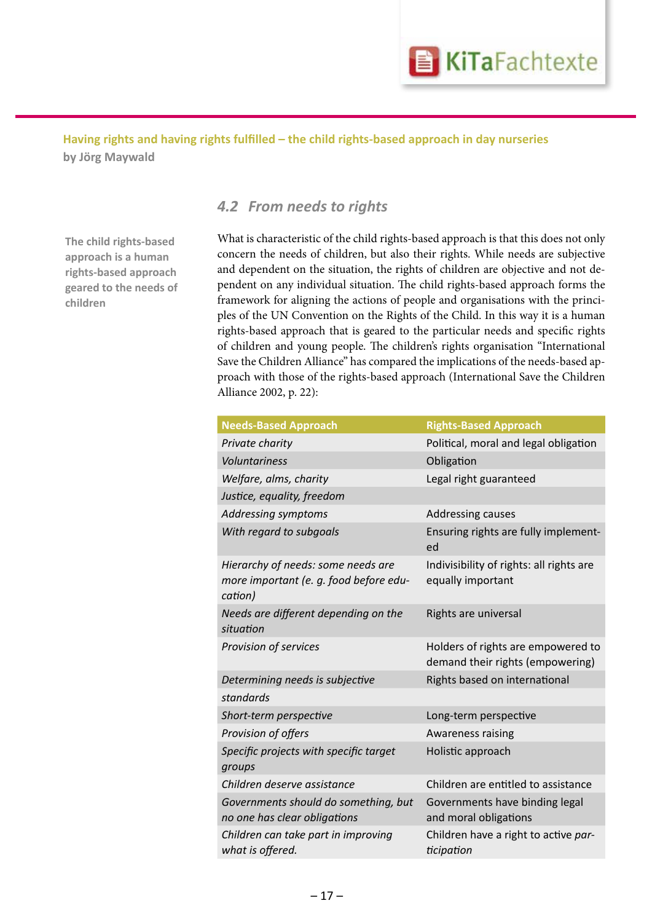

**value was a upproach**<br>geared to the needs of **The child rights-based approach is a human rights-based approach children**

# **Professionelles Handeln von**  *4.2 From needs to rights*

The child rights-based **Makilly What is characteristic of the child rights-based approach is that this does not only** concern the needs of children, but also their rights. While needs are subjective and dependent on the situation, the rights of children are objective and not dependent on any individual situation. The child rights-based approach forms the framework for aligning the actions of people and organisations with the principles of the UN Convention on the Rights of the Child. In this way it is a human rights-based approach that is geared to the particular needs and specific rights of children and young people. The children's rights organisation "International Save the Children Alliance" has compared the implications of the needs-based approach with those of the rights-based approach (International Save the Children Alliance 2002, p. 22):

| <b>Needs-Based Approach</b>                                                             | <b>Rights-Based Approach</b>                                           |
|-----------------------------------------------------------------------------------------|------------------------------------------------------------------------|
| Private charity                                                                         | Political, moral and legal obligation                                  |
| Voluntariness                                                                           | Obligation                                                             |
| Welfare, alms, charity                                                                  | Legal right guaranteed                                                 |
| Justice, equality, freedom                                                              |                                                                        |
| Addressing symptoms                                                                     | <b>Addressing causes</b>                                               |
| With regard to subgoals                                                                 | Ensuring rights are fully implement-<br>ed                             |
| Hierarchy of needs: some needs are<br>more important (e. g. food before edu-<br>cation) | Indivisibility of rights: all rights are<br>equally important          |
| Needs are different depending on the<br>situation                                       | Rights are universal                                                   |
| Provision of services                                                                   | Holders of rights are empowered to<br>demand their rights (empowering) |
|                                                                                         |                                                                        |
| Determining needs is subjective                                                         | Rights based on international                                          |
| standards                                                                               |                                                                        |
| Short-term perspective                                                                  | Long-term perspective                                                  |
| Provision of offers                                                                     | <b>Awareness raising</b>                                               |
| Specific projects with specific target<br>groups                                        | Holistic approach                                                      |
| Children deserve assistance                                                             | Children are entitled to assistance                                    |
| Governments should do something, but<br>no one has clear obligations                    | Governments have binding legal<br>and moral obligations                |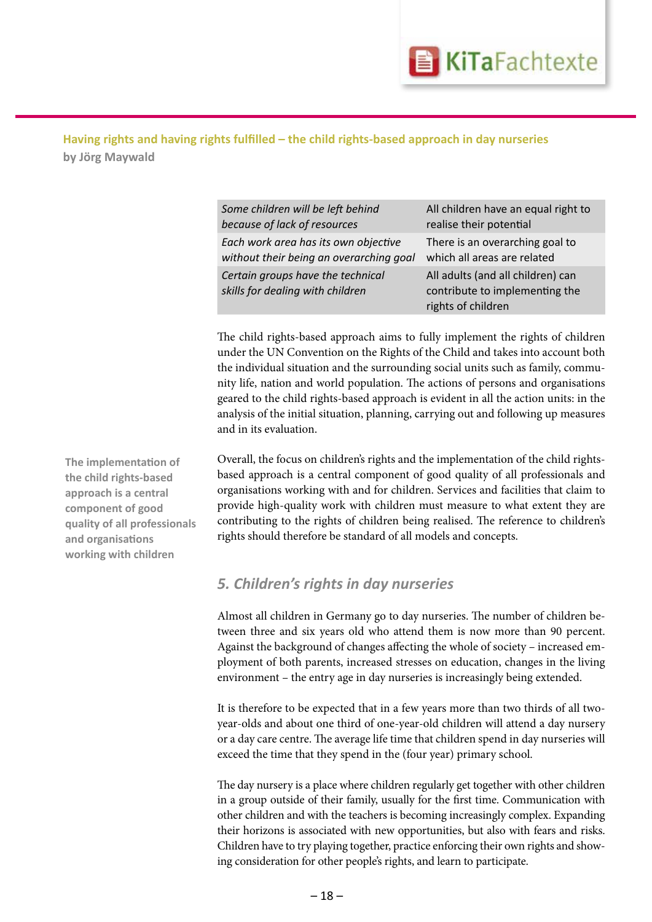

**Profession Compare Some children will be left behind** *fack of resources* endise their pot<br>*Each work area has its own objective* There is an over *Some children will be left behind because of lack of resources without their being an overarching goal Certain groups have the technical skills for dealing with children* 

All children have an equal right to realise their potential There is an overarching goal to which all areas are related All adults (and all children) can contribute to implementing the rights of children

The child rights-based approach aims to fully implement the rights of children under the UN Convention on the Rights of the Child and takes into account both the individual situation and the surrounding social units such as family, community life, nation and world population. The actions of persons and organisations geared to the child rights-based approach is evident in all the action units: in the analysis of the initial situation, planning, carrying out and following up measures and in its evaluation.

Overall, the focus on children's rights and the implementation of the child rightsbased approach is a central component of good quality of all professionals and organisations working with and for children. Services and facilities that claim to provide high-quality work with children must measure to what extent they are contributing to the rights of children being realised. The reference to children's rights should therefore be standard of all models and concepts.

### *5. Children's rights in day nurseries*

Almost all children in Germany go to day nurseries. The number of children between three and six years old who attend them is now more than 90 percent. Against the background of changes affecting the whole of society – increased employment of both parents, increased stresses on education, changes in the living environment – the entry age in day nurseries is increasingly being extended.

It is therefore to be expected that in a few years more than two thirds of all twoyear-olds and about one third of one-year-old children will attend a day nursery or a day care centre. The average life time that children spend in day nurseries will exceed the time that they spend in the (four year) primary school.

y is a place where children regularly get together with other childres in a group outside of their family, usually for the first time. Communication with and with the teachers is becoming increasingly complex. Ex their horizons is associated with new opportunities, but also with fears and risks. to try playing together, practice enforcing their own rights and show Bitte benutzen Sie die dazu zur ing consideration for other people's rights, and learn to participate. The day nursery is a place where children regularly get together with other children other children and with the teachers is becoming increasingly complex. Expanding Children have to try playing together, practice enforcing their own rights and show-

**The implementation of the child rights-based approach is a central component of good quality of all professionals and organisations working with children**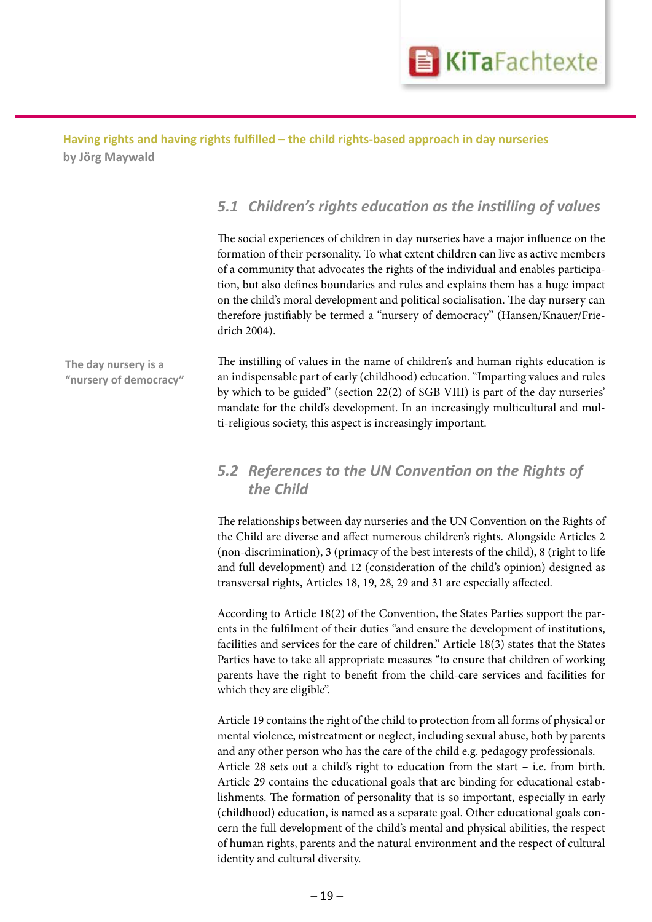

# **Professionelles Handeln von**  *5.1 Children's rights education as the instilling of values*

The social experiences of children in day nurseries have a major influence on the formation of their personality. To what extent children can live as active members of a community that advocates the rights of the individual and enables participation, but also defines boundaries and rules and explains them has a huge impact on the child's moral development and political socialisation. The day nursery can therefore justifiably be termed a "nursery of democracy" (Hansen/Knauer/Friedrich 2004).

The instilling of values in the name of children's and human rights education is an indispensable part of early (childhood) education. "Imparting values and rules by which to be guided" (section 22(2) of SGB VIII) is part of the day nurseries' mandate for the child's development. In an increasingly multicultural and multi-religious society, this aspect is increasingly important. **The day nursery is a "nursery of democracy"**

## *5.2 References to the UN Convention on the Rights of the Child*

The relationships between day nurseries and the UN Convention on the Rights of the Child are diverse and affect numerous children's rights. Alongside Articles 2 (non-discrimination), 3 (primacy of the best interests of the child), 8 (right to life and full development) and 12 (consideration of the child's opinion) designed as transversal rights, Articles 18, 19, 28, 29 and 31 are especially affected.

According to Article 18(2) of the Convention, the States Parties support the parents in the fulfilment of their duties "and ensure the development of institutions, facilities and services for the care of children." Article 18(3) states that the States Parties have to take all appropriate measures "to ensure that children of working parents have the right to benefit from the child-care services and facilities for which they are eligible".

formation of personality that is so important, especially in a (childhood) education, is named as a separate goal. Other educational goals conevelopmen ts, parents and the natural environment and the respect of cultura identity and cultural diversity. Article 29 contains the educational goals that are binding for educational establishments. The formation of personality that is so important, especially in early Frühpädagogische Fachkräfte cern the full development of the child's mental and physical abilities, the respect of human rights, parents and the natural environment and the respect of cultural Article 19 contains the right of the child to protection from all forms of physical or mental violence, mistreatment or neglect, including sexual abuse, both by parents and any other person who has the care of the child e.g. pedagogy professionals. Article 28 sets out a child's right to education from the start – i.e. from birth.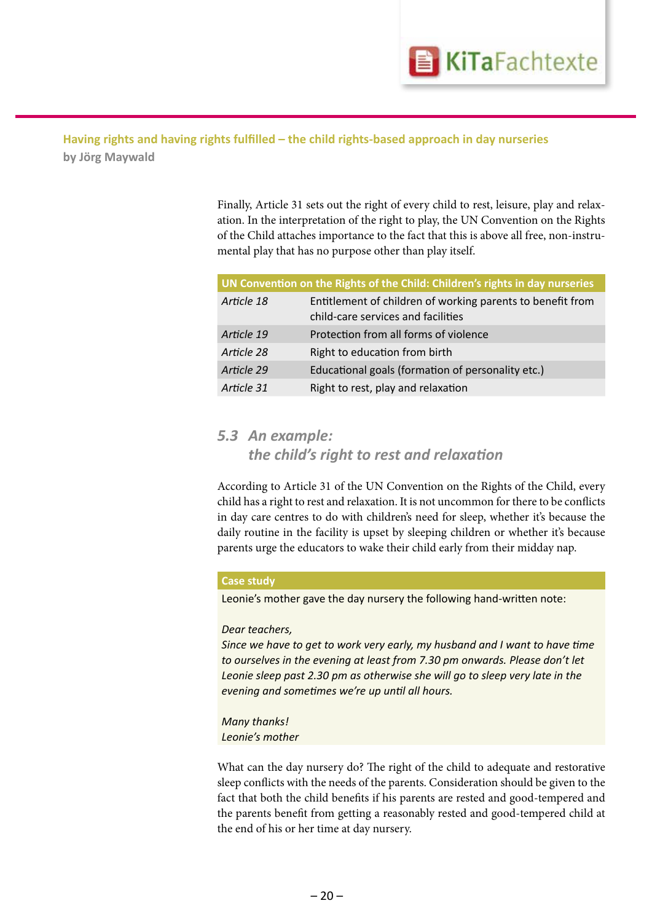

**Professionelles Handeln von**  Finally, Article 31 sets out the right of every child to rest, leisure, play and relaxation. In the interpretation of the right to play, the UN Convention on the Rights<br>of the Child attaches importance to the fact that this is above all free, non-instruation. In the interpretation of the right to play, the UN Convention on the Rights mental play that has no purpose other than play itself.

| UN Convention on the Rights of the Child: Children's rights in day nurseries |                                                                                                  |  |
|------------------------------------------------------------------------------|--------------------------------------------------------------------------------------------------|--|
| Article 18                                                                   | Entitlement of children of working parents to benefit from<br>child-care services and facilities |  |
| Article 19                                                                   | Protection from all forms of violence                                                            |  |
| Article 28                                                                   | Right to education from birth                                                                    |  |
| Article 29                                                                   | Educational goals (formation of personality etc.)                                                |  |
| Article 31                                                                   | Right to rest, play and relaxation                                                               |  |

#### *5.3 An example:*

*the child's right to rest and relaxation*

According to Article 31 of the UN Convention on the Rights of the Child, every child has a right to rest and relaxation. It is not uncommon for there to be conflicts in day care centres to do with children's need for sleep, whether it's because the daily routine in the facility is upset by sleeping children or whether it's because parents urge the educators to wake their child early from their midday nap.

#### **Case study**

Leonie's mother gave the day nursery the following hand-written note:

#### *Dear teachers,*

*Since we have to get to work very early, my husband and I want to have time to ourselves in the evening at least from 7.30 pm onwards. Please don't let*  Leonie sleep past 2.30 pm as otherwise she will go to sleep very late in the *evening and sometimes we're up until all hours.*

*Many thanks! Leonie's mother*

ure<br>The child benefits if his parents are rested and good-tempered nefit from getting a reasonably rested and good-tempered the end of his or her time at day nursery. sleep conflicts with the needs of the parents. Consideration should be given to the fact that both the child benefits if his parents are rested and good-tempered and the parents benefit from getting a reasonably rested and good-tempered child at What can the day nursery do? The right of the child to adequate and restorative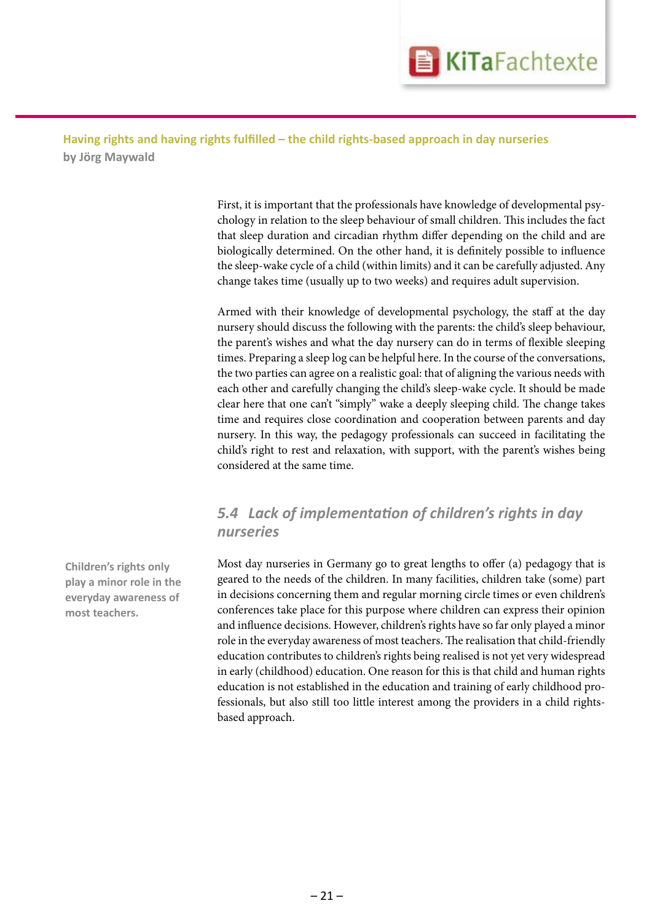

**Professionelles Handeln von**  First, it is important that the professionals have knowledge of developmental psyfraching that sleep technology in relation to the sleep behaviour of small children. This includes the fact that sleep duration and circadian rhythm differ depending on the child and are chology in relation to the sleep behaviour of small children. This includes the fact biologically determined. On the other hand, it is definitely possible to influence the sleep-wake cycle of a child (within limits) and it can be carefully adjusted. Any change takes time (usually up to two weeks) and requires adult supervision.

> Armed with their knowledge of developmental psychology, the staff at the day nursery should discuss the following with the parents: the child's sleep behaviour, the parent's wishes and what the day nursery can do in terms of flexible sleeping times. Preparing a sleep log can be helpful here. In the course of the conversations, the two parties can agree on a realistic goal: that of aligning the various needs with each other and carefully changing the child's sleep-wake cycle. It should be made clear here that one can't "simply" wake a deeply sleeping child. The change takes time and requires close coordination and cooperation between parents and day nursery. In this way, the pedagogy professionals can succeed in facilitating the child's right to rest and relaxation, with support, with the parent's wishes being considered at the same time.

## *5.4 Lack of implementation of children's rights in day nurseries*

Most day nurseries in Germany go to great lengths to offer (a) pedagogy that is geared to the needs of the children. In many facilities, children take (some) part in decisions concerning them and regular morning circle times or even children's conferences take place for this purpose where children can express their opinion and influence decisions. However, children's rights have so far only played a minor role in the everyday awareness of most teachers. The realisation that child-friendly education contributes to children's rights being realised is not yet very widespread in early (childhood) education. One reason for this is that child and human rights education is not established in the education and training of early childhood professionals, but also still too little interest among the providers in a child rightsbased approach.

**Children's rights only play a minor role in the everyday awareness of most teachers.**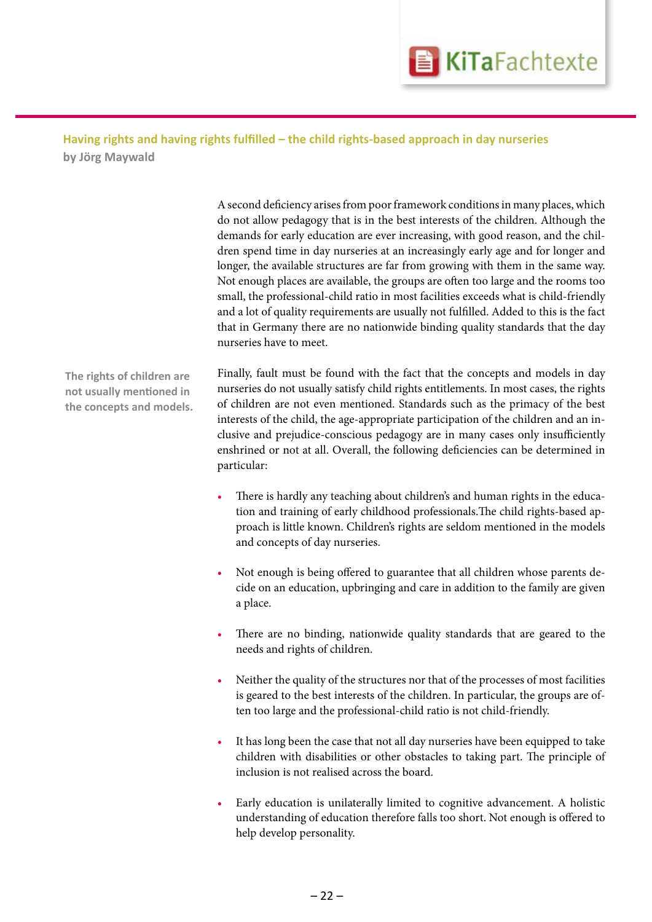

**Professionelles Handeln von**  A second deficiency arises from poor framework conditions in many places, which do not allow pedagogy that is in the best interests of the children. Although the demands for early education are ever increasing, with good reason, and the childo not allow pedagogy that is in the best interests of the children. Although the dren spend time in day nurseries at an increasingly early age and for longer and longer, the available structures are far from growing with them in the same way. Not enough places are available, the groups are often too large and the rooms too small, the professional-child ratio in most facilities exceeds what is child-friendly and a lot of quality requirements are usually not fulfilled. Added to this is the fact that in Germany there are no nationwide binding quality standards that the day nurseries have to meet.

**The rights of children are not usually mentioned in the concepts and models.** Finally, fault must be found with the fact that the concepts and models in day nurseries do not usually satisfy child rights entitlements. In most cases, the rights of children are not even mentioned. Standards such as the primacy of the best interests of the child, the age-appropriate participation of the children and an inclusive and prejudice-conscious pedagogy are in many cases only insufficiently enshrined or not at all. Overall, the following deficiencies can be determined in particular:

- There is hardly any teaching about children's and human rights in the education and training of early childhood professionals.The child rights-based approach is little known. Children's rights are seldom mentioned in the models and concepts of day nurseries.
- Not enough is being offered to guarantee that all children whose parents decide on an education, upbringing and care in addition to the family are given a place.
- There are no binding, nationwide quality standards that are geared to the needs and rights of children.
- Neither the quality of the structures nor that of the processes of most facilities is geared to the best interests of the children. In particular, the groups are often too large and the professional-child ratio is not child-friendly.
- It has long been the case that not all day nurseries have been equipped to take children with disabilities or other obstacles to taking part. The principle of inclusion is not realised across the board.
- Early education is unilaterally limited to cognitive advancement. A holistic ung or eat help develop personality. -farbigkeit verwendet werden. Weiterbildungsinitiative understanding of education therefore falls too short. Not enough is offered to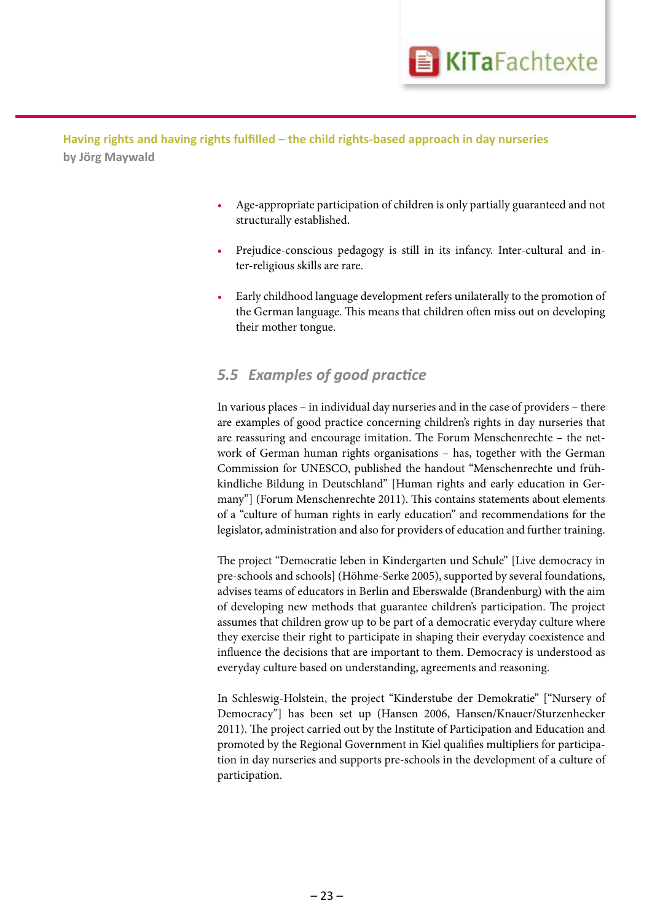

- **Professionelles Handeln von**  Age-appropriate participation of children is only partially guaranteed and not **for the facturally established.**<br>The facture of the fact that the fact the facture of the fact of the facture of the facture of the facture of the facture of the facture of the facture of the facture of the facture of the structurally established.
	- Prejudice-conscious pedagogy is still in its infancy. Inter-cultural and inter-religious skills are rare.
	- Early childhood language development refers unilaterally to the promotion of the German language. This means that children often miss out on developing their mother tongue.

## *5.5 Examples of good practice*

In various places – in individual day nurseries and in the case of providers – there are examples of good practice concerning children's rights in day nurseries that are reassuring and encourage imitation. The Forum Menschenrechte – the network of German human rights organisations – has, together with the German Commission for UNESCO, published the handout "Menschenrechte und frühkindliche Bildung in Deutschland" [Human rights and early education in Germany"] (Forum Menschenrechte 2011). This contains statements about elements of a "culture of human rights in early education" and recommendations for the legislator, administration and also for providers of education and further training.

The project "Democratie leben in Kindergarten und Schule" [Live democracy in pre-schools and schools] (Höhme-Serke 2005), supported by several foundations, advises teams of educators in Berlin and Eberswalde (Brandenburg) with the aim of developing new methods that guarantee children's participation. The project assumes that children grow up to be part of a democratic everyday culture where they exercise their right to participate in shaping their everyday coexistence and influence the decisions that are important to them. Democracy is understood as everyday culture based on understanding, agreements and reasoning.

In Schleswig-Holstein, the project "Kinderstube der Demokratie" ["Nursery of Democracy"] has been set up (Hansen 2006, Hansen/Knauer/Sturzenhecker 2011). The project carried out by the Institute of Participation and Education and promoted by the Regional Government in Kiel qualifies multipliers for participation in day nurseries and supports pre-schools in the development of a culture of participation.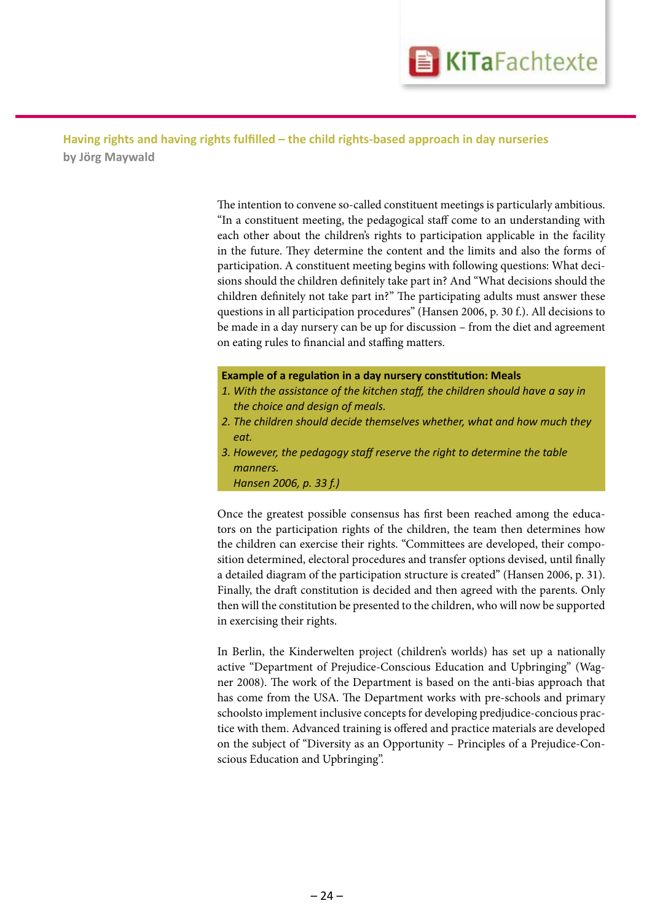

**Professionelles Handeln von**  The intention to convene so-called constituent meetings is particularly ambitious. "In a constituent meeting, the pedagogical staff come to an understanding with each other about the children's rights to participation applicable in the facility "In a constituent meeting, the pedagogical staff come to an understanding with in the future. They determine the content and the limits and also the forms of participation. A constituent meeting begins with following questions: What decisions should the children definitely take part in? And "What decisions should the children definitely not take part in?" The participating adults must answer these questions in all participation procedures" (Hansen 2006, p. 30 f.). All decisions to be made in a day nursery can be up for discussion – from the diet and agreement on eating rules to financial and staffing matters.

#### **Example of a regulation in a day nursery constitution: Meals**

- *1. With the assistance of the kitchen staff, the children should have a say in the choice and design of meals.*
- *2. The children should decide themselves whether, what and how much they eat.*
- *3. However, the pedagogy staff reserve the right to determine the table manners. Hansen 2006, p. 33 f.)*

Once the greatest possible consensus has first been reached among the educators on the participation rights of the children, the team then determines how the children can exercise their rights. "Committees are developed, their composition determined, electoral procedures and transfer options devised, until finally a detailed diagram of the participation structure is created" (Hansen 2006, p. 31). Finally, the draft constitution is decided and then agreed with the parents. Only then will the constitution be presented to the children, who will now be supported in exercising their rights.

In Berlin, the Kinderwelten project (children's worlds) has set up a nationally active "Department of Prejudice-Conscious Education and Upbringing" (Wagner 2008). The work of the Department is based on the anti-bias approach that has come from the USA. The Department works with pre-schools and primary schoolsto implement inclusive concepts for developing predjudice-concious practice with them. Advanced training is offered and practice materials are developed on the subject of "Diversity as an Opportunity – Principles of a Prejudice-Conscious Education and Upbringing".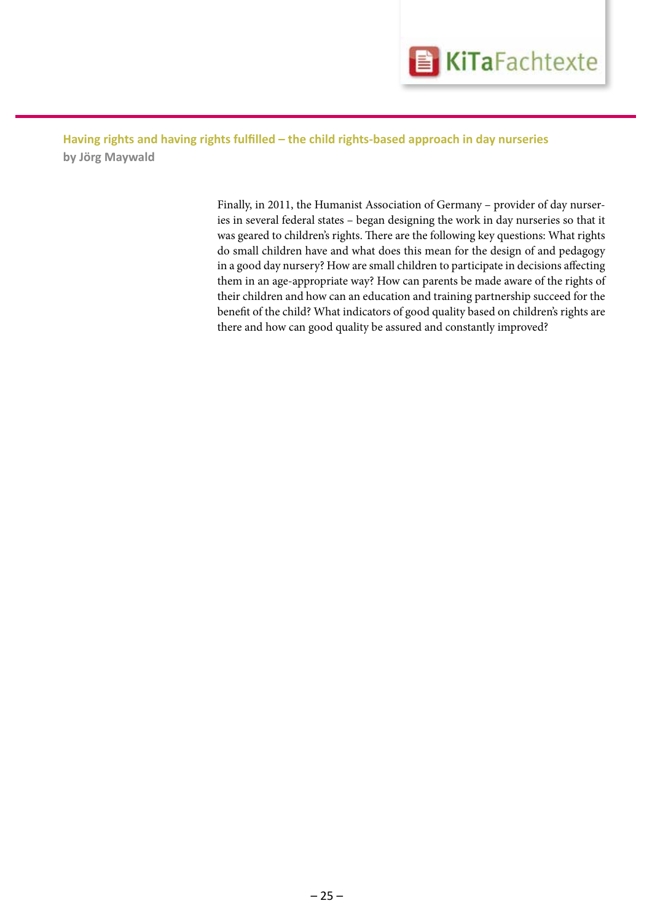

Finally, in 2011, the Humanist Association of Germany – provider of day nurseries in several federal states – began designing the work in day nurseries so that it<br>was geared to children's rights. There are the following key questions: What rights ies in several federal states – began designing the work in day nurseries so that it do small children have and what does this mean for the design of and pedagogy in a good day nursery? How are small children to participate in decisions affecting them in an age-appropriate way? How can parents be made aware of the rights of their children and how can an education and training partnership succeed for the benefit of the child? What indicators of good quality based on children's rights are there and how can good quality be assured and constantly improved?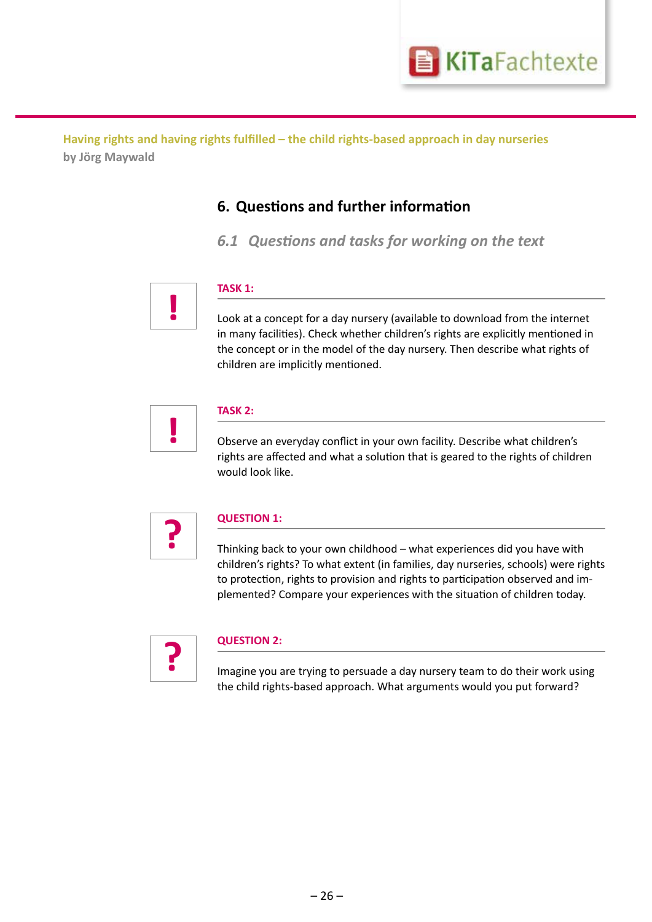

# **Professions and further information**

**frühpädagogischen Fachkräften** *6.1 Questions and tasks for working on the text*



#### **TASK 1:**

Look at a concept for a day nursery (available to download from the internet in many facilities). Check whether children's rights are explicitly mentioned in the concept or in the model of the day nursery. Then describe what rights of children are implicitly mentioned.



#### **TASK 2:**

Observe an everyday conflict in your own facility. Describe what children's rights are affected and what a solution that is geared to the rights of children would look like.



#### **QUESTION 1:**

Thinking back to your own childhood – what experiences did you have with children's rights? To what extent (in families, day nurseries, schools) were rights to protection, rights to provision and rights to participation observed and implemented? Compare your experiences with the situation of children today.



#### **QUESTION 2:**

Imagine you are trying to persuade a day nursery team to do their work using the child rights-based approach. What arguments would you put forward?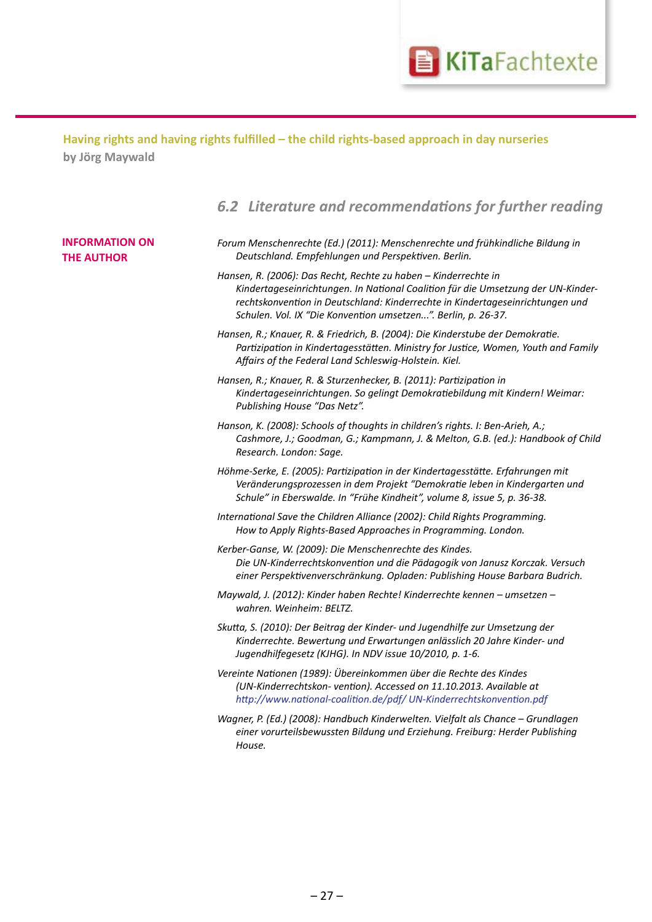

|                                            | 6.2 Literature and recommendations for further reading                                                                                                                                                                                                                                                |
|--------------------------------------------|-------------------------------------------------------------------------------------------------------------------------------------------------------------------------------------------------------------------------------------------------------------------------------------------------------|
| <b>INFORMATION ON</b><br><b>THE AUTHOR</b> | Forum Menschenrechte (Ed.) (2011): Menschenrechte und frühkindliche Bildung in<br>Deutschland. Empfehlungen und Perspektiven. Berlin.                                                                                                                                                                 |
|                                            | Hansen, R. (2006): Das Recht, Rechte zu haben - Kinderrechte in<br>Kindertageseinrichtungen. In National Coalition für die Umsetzung der UN-Kinder-<br>rechtskonvention in Deutschland: Kinderrechte in Kindertageseinrichtungen und<br>Schulen. Vol. IX "Die Konvention umsetzen". Berlin, p. 26-37. |
|                                            | Hansen, R.; Knauer, R. & Friedrich, B. (2004): Die Kinderstube der Demokratie.<br>Partizipation in Kindertagesstätten. Ministry for Justice, Women, Youth and Family<br>Affairs of the Federal Land Schleswig-Holstein. Kiel.                                                                         |
|                                            | Hansen, R.; Knauer, R. & Sturzenhecker, B. (2011): Partizipation in<br>Kindertageseinrichtungen. So gelingt Demokratiebildung mit Kindern! Weimar:<br>Publishing House "Das Netz".                                                                                                                    |
|                                            | Hanson, K. (2008): Schools of thoughts in children's rights. I: Ben-Arieh, A.;<br>Cashmore, J.; Goodman, G.; Kampmann, J. & Melton, G.B. (ed.): Handbook of Child<br>Research. London: Sage.                                                                                                          |
|                                            | Höhme-Serke, E. (2005): Partizipation in der Kindertagesstätte. Erfahrungen mit<br>Veränderungsprozessen in dem Projekt "Demokratie leben in Kindergarten und<br>Schule" in Eberswalde. In "Frühe Kindheit", volume 8, issue 5, p. 36-38.                                                             |
|                                            | International Save the Children Alliance (2002): Child Rights Programming.<br>How to Apply Rights-Based Approaches in Programming. London.                                                                                                                                                            |
|                                            | Kerber-Ganse, W. (2009): Die Menschenrechte des Kindes.<br>Die UN-Kinderrechtskonvention und die Pädagogik von Janusz Korczak. Versuch<br>einer Perspektivenverschränkung. Opladen: Publishing House Barbara Budrich.                                                                                 |
|                                            | Maywald, J. (2012): Kinder haben Rechte! Kinderrechte kennen - umsetzen -<br>wahren. Weinheim: BELTZ.                                                                                                                                                                                                 |
|                                            | Skutta, S. (2010): Der Beitrag der Kinder- und Jugendhilfe zur Umsetzung der<br>Kinderrechte. Bewertung und Erwartungen anlässlich 20 Jahre Kinder- und<br>Jugendhilfegesetz (KJHG). In NDV issue 10/2010, p. 1-6.                                                                                    |
|                                            | Vereinte Nationen (1989): Übereinkommen über die Rechte des Kindes<br>(UN-Kinderrechtskon- vention). Accessed on 11.10.2013. Available at<br>http://www.national-coalition.de/pdf/ UN-Kinderrechtskonvention.pdf                                                                                      |
|                                            | Wagner, P. (Ed.) (2008): Handbuch Kinderwelten. Vielfalt als Chance - Grundlagen<br>einer vorurteilsbewussten Bildung und Erziehung. Freiburg: Herder Publishing<br>House.                                                                                                                            |
|                                            |                                                                                                                                                                                                                                                                                                       |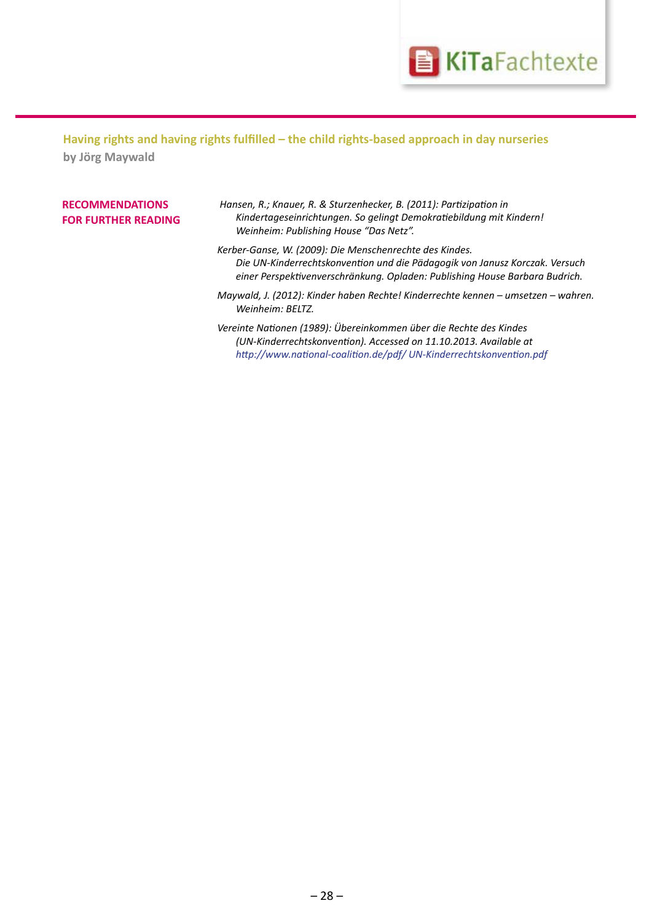

#### **RECOMMENDATIONS FOR FURTHER READING**

- **Professionelles Handeln von**  *Hansen, R.; Knauer, R. & Sturzenhecker, B. (2011): Partizipation in* **FOR FURTHER READING** Kindertageseinrichtungen. So gelingt Demokratiebildung mit Kindern!<br>Weinheim: Publishing House "Das Netz".<br>And a service of the society of the state of the state of the state of the state of the state *Weinheim: Publishing House "Das Netz".*
	- *Kerber-Ganse, W. (2009): Die Menschenrechte des Kindes. Die UN-Kinderrechtskonvention und die Pädagogik von Janusz Korczak. Versuch einer Perspektivenverschränkung. Opladen: Publishing House Barbara Budrich.*
	- *Maywald, J. (2012): Kinder haben Rechte! Kinderrechte kennen – umsetzen – wahren. Weinheim: BELTZ.*
	- *Vereinte Nationen (1989): Übereinkommen über die Rechte des Kindes (UN-Kinderrechtskonvention). Accessed on 11.10.2013. Available at http://www.national-coalition.de/pdf/ UN-Kinderrechtskonvention.pdf*